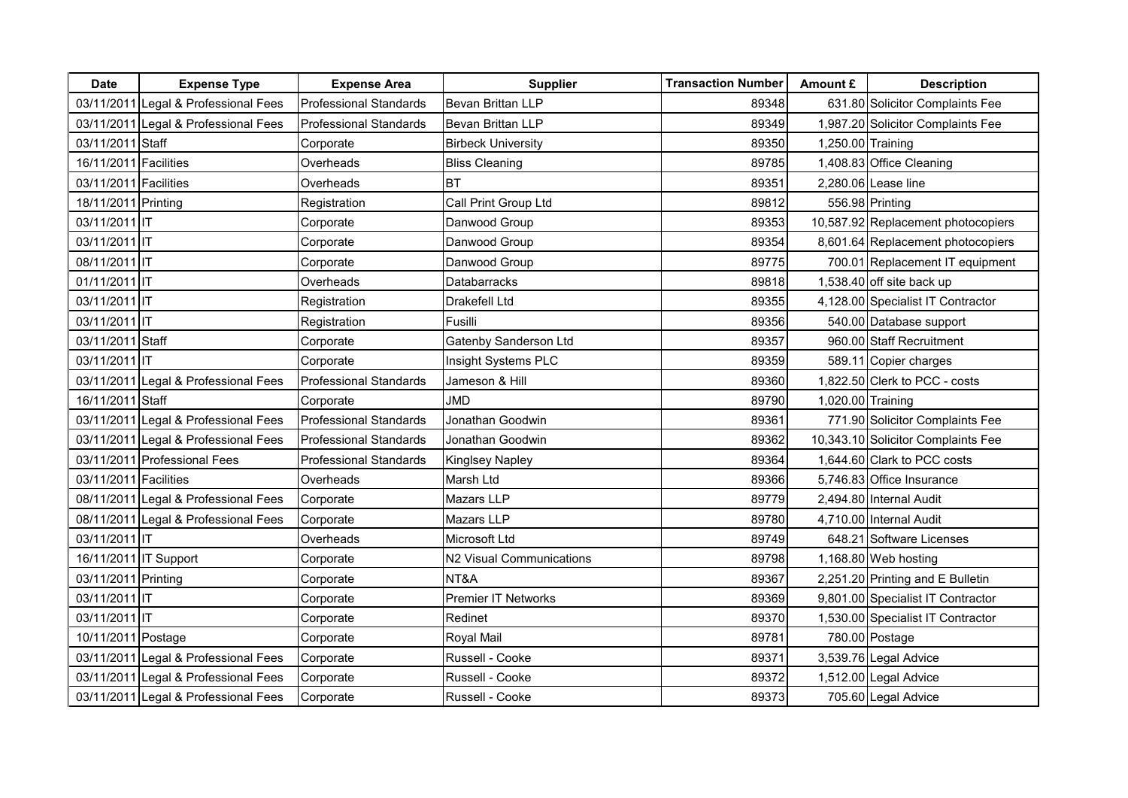| <b>Date</b>           | <b>Expense Type</b>                  | <b>Expense Area</b>           | <b>Supplier</b>           | <b>Transaction Number</b> | Amount £          | <b>Description</b>                 |
|-----------------------|--------------------------------------|-------------------------------|---------------------------|---------------------------|-------------------|------------------------------------|
|                       | 03/11/2011 Legal & Professional Fees | <b>Professional Standards</b> | Bevan Brittan LLP         | 89348                     |                   | 631.80 Solicitor Complaints Fee    |
|                       | 03/11/2011 Legal & Professional Fees | <b>Professional Standards</b> | Bevan Brittan LLP         | 89349                     |                   | 1,987.20 Solicitor Complaints Fee  |
| 03/11/2011 Staff      |                                      | Corporate                     | <b>Birbeck University</b> | 89350                     | 1,250.00 Training |                                    |
| 16/11/2011 Facilities |                                      | Overheads                     | <b>Bliss Cleaning</b>     | 89785                     |                   | 1,408.83 Office Cleaning           |
| 03/11/2011 Facilities |                                      | Overheads                     | <b>BT</b>                 | 89351                     |                   | 2,280.06 Lease line                |
| 18/11/2011 Printing   |                                      | Registration                  | Call Print Group Ltd      | 89812                     |                   | 556.98 Printing                    |
| 03/11/2011 IT         |                                      | Corporate                     | Danwood Group             | 89353                     |                   | 10,587.92 Replacement photocopiers |
| 03/11/2011 IT         |                                      | Corporate                     | Danwood Group             | 89354                     |                   | 8,601.64 Replacement photocopiers  |
| 08/11/2011 IT         |                                      | Corporate                     | Danwood Group             | 89775                     |                   | 700.01 Replacement IT equipment    |
| 01/11/2011 IT         |                                      | Overheads                     | Databarracks              | 89818                     |                   | 1,538.40 off site back up          |
| 03/11/2011 IT         |                                      | Registration                  | Drakefell Ltd             | 89355                     |                   | 4,128.00 Specialist IT Contractor  |
| 03/11/2011 IT         |                                      | Registration                  | Fusilli                   | 89356                     |                   | 540.00 Database support            |
| 03/11/2011 Staff      |                                      | Corporate                     | Gatenby Sanderson Ltd     | 89357                     |                   | 960.00 Staff Recruitment           |
| 03/11/2011 IT         |                                      | Corporate                     | Insight Systems PLC       | 89359                     |                   | 589.11 Copier charges              |
|                       | 03/11/2011 Legal & Professional Fees | <b>Professional Standards</b> | Jameson & Hill            | 89360                     |                   | 1,822.50 Clerk to PCC - costs      |
| 16/11/2011 Staff      |                                      | Corporate                     | <b>JMD</b>                | 89790                     | 1,020.00 Training |                                    |
|                       | 03/11/2011 Legal & Professional Fees | <b>Professional Standards</b> | Jonathan Goodwin          | 89361                     |                   | 771.90 Solicitor Complaints Fee    |
|                       | 03/11/2011 Legal & Professional Fees | <b>Professional Standards</b> | Jonathan Goodwin          | 89362                     |                   | 10,343.10 Solicitor Complaints Fee |
|                       | 03/11/2011 Professional Fees         | <b>Professional Standards</b> | <b>Kinglsey Napley</b>    | 89364                     |                   | 1,644.60 Clark to PCC costs        |
| 03/11/2011 Facilities |                                      | Overheads                     | Marsh Ltd                 | 89366                     |                   | 5,746.83 Office Insurance          |
|                       | 08/11/2011 Legal & Professional Fees | Corporate                     | Mazars LLP                | 89779                     |                   | 2,494.80 Internal Audit            |
|                       | 08/11/2011 Legal & Professional Fees | Corporate                     | Mazars LLP                | 89780                     |                   | 4,710.00 Internal Audit            |
| 03/11/2011 IT         |                                      | Overheads                     | Microsoft Ltd             | 89749                     |                   | 648.21 Software Licenses           |
|                       | 16/11/2011 IT Support                | Corporate                     | N2 Visual Communications  | 89798                     |                   | 1,168.80 Web hosting               |
| 03/11/2011 Printing   |                                      | Corporate                     | NT&A                      | 89367                     |                   | 2,251.20 Printing and E Bulletin   |
| 03/11/2011 IT         |                                      | Corporate                     | Premier IT Networks       | 89369                     |                   | 9,801.00 Specialist IT Contractor  |
| 03/11/2011 IT         |                                      | Corporate                     | Redinet                   | 89370                     |                   | 1,530.00 Specialist IT Contractor  |
| 10/11/2011 Postage    |                                      | Corporate                     | Royal Mail                | 89781                     |                   | 780.00 Postage                     |
|                       | 03/11/2011 Legal & Professional Fees | Corporate                     | Russell - Cooke           | 89371                     |                   | 3,539.76 Legal Advice              |
|                       | 03/11/2011 Legal & Professional Fees | Corporate                     | Russell - Cooke           | 89372                     |                   | 1,512.00 Legal Advice              |
|                       | 03/11/2011 Legal & Professional Fees | Corporate                     | Russell - Cooke           | 89373                     |                   | 705.60 Legal Advice                |